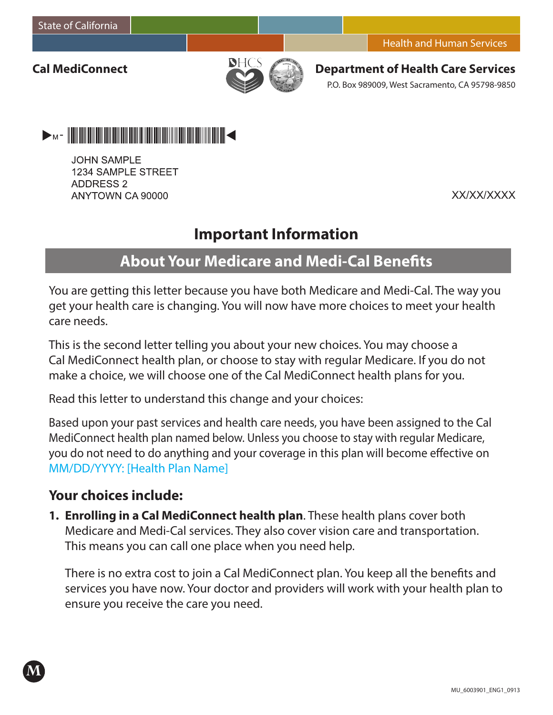**Cal MediConnect**



**Department of Health Care Services** P.O. Box 989009, West Sacramento, CA 95798-9850



**JOHN SAMPLE** 1234 SAMPLE STREET **ADDRESS 2** ANYTOWN CA 90000

XX/XX/XXXX

# **Important Information**

# **About Your Medicare and Medi-Cal Benefits**

You are getting this letter because you have both Medicare and Medi-Cal. The way you get your health care is changing. You will now have more choices to meet your health care needs.

This is the second letter telling you about your new choices. You may choose a Cal MediConnect health plan, or choose to stay with regular Medicare. If you do not make a choice, we will choose one of the Cal MediConnect health plans for you.

Read this letter to understand this change and your choices:

Based upon your past services and health care needs, you have been assigned to the Cal MediConnect health plan named below. Unless you choose to stay with regular Medicare, you do not need to do anything and your coverage in this plan will become effective on MM/DD/YYYY: [Health Plan Name]

## **Your choices include:**

**M**

**1. Enrolling in a Cal MediConnect health plan**. These health plans cover both Medicare and Medi-Cal services. They also cover vision care and transportation. This means you can call one place when you need help.

There is no extra cost to join a Cal MediConnect plan. You keep all the benefits and services you have now. Your doctor and providers will work with your health plan to ensure you receive the care you need.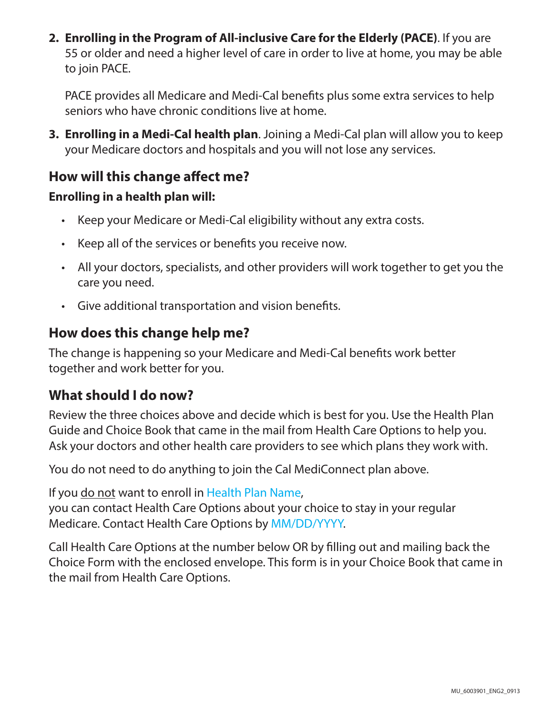**2. Enrolling in the Program of All-inclusive Care for the Elderly (PACE)**. If you are 55 or older and need a higher level of care in order to live at home, you may be able to join PACE.

PACE provides all Medicare and Medi-Cal benefits plus some extra services to help seniors who have chronic conditions live at home.

**3. Enrolling in a Medi-Cal health plan**. Joining a Medi-Cal plan will allow you to keep your Medicare doctors and hospitals and you will not lose any services.

# **How will this change affect me?**

#### **Enrolling in a health plan will:**

- • Keep your Medicare or Medi-Cal eligibility without any extra costs.
- Keep all of the services or benefits you receive now.
- All your doctors, specialists, and other providers will work together to get you the care you need.
- • Give additional transportation and vision benefits.

## **How does this change help me?**

The change is happening so your Medicare and Medi-Cal benefits work better together and work better for you.

## **What should I do now?**

Review the three choices above and decide which is best for you. Use the Health Plan Guide and Choice Book that came in the mail from Health Care Options to help you. Ask your doctors and other health care providers to see which plans they work with.

You do not need to do anything to join the Cal MediConnect plan above.

If you do not want to enroll in Health Plan Name, you can contact Health Care Options about your choice to stay in your regular Medicare. Contact Health Care Options by MM/DD/YYYY.

Call Health Care Options at the number below OR by filling out and mailing back the Choice Form with the enclosed envelope. This form is in your Choice Book that came in the mail from Health Care Options.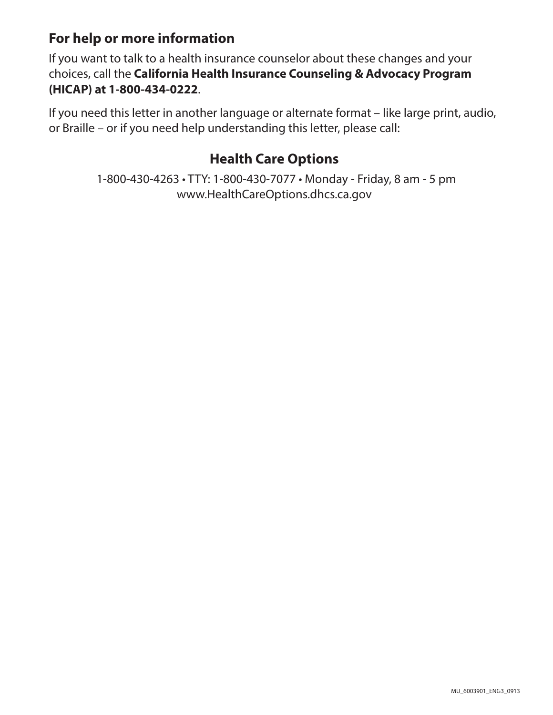# **For help or more information**

If you want to talk to a health insurance counselor about these changes and your choices, call the **California Health Insurance Counseling & Advocacy Program (HICAP) at 1-800-434-0222**.

If you need this letter in another language or alternate format – like large print, audio, or Braille – or if you need help understanding this letter, please call:

# **Health Care Options**

1-800-430-4263 • TTY: 1-800-430-7077 • Monday - Friday, 8 am - 5 pm www.HealthCareOptions.dhcs.ca.gov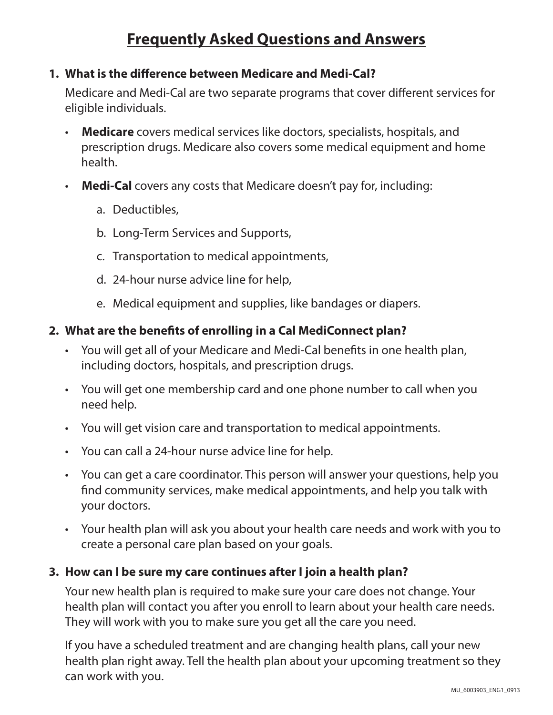# **Frequently Asked Questions and Answers**

#### **1. What is the difference between Medicare and Medi-Cal?**

Medicare and Medi-Cal are two separate programs that cover different services for eligible individuals.

- **Medicare** covers medical services like doctors, specialists, hospitals, and prescription drugs. Medicare also covers some medical equipment and home health.
- **Medi-Cal** covers any costs that Medicare doesn't pay for, including:
	- a. Deductibles,
	- b. Long-Term Services and Supports,
	- c. Transportation to medical appointments,
	- d. 24-hour nurse advice line for help,
	- e. Medical equipment and supplies, like bandages or diapers.

#### **2. What are the benefits of enrolling in a Cal MediConnect plan?**

- You will get all of your Medicare and Medi-Cal benefits in one health plan, including doctors, hospitals, and prescription drugs.
- You will get one membership card and one phone number to call when you need help.
- You will get vision care and transportation to medical appointments.
- You can call a 24-hour nurse advice line for help.
- You can get a care coordinator. This person will answer your questions, help you find community services, make medical appointments, and help you talk with your doctors.
- • Your health plan will ask you about your health care needs and work with you to create a personal care plan based on your goals.

#### **3. How can I be sure my care continues after I join a health plan?**

Your new health plan is required to make sure your care does not change. Your health plan will contact you after you enroll to learn about your health care needs. They will work with you to make sure you get all the care you need.

If you have a scheduled treatment and are changing health plans, call your new health plan right away. Tell the health plan about your upcoming treatment so they can work with you.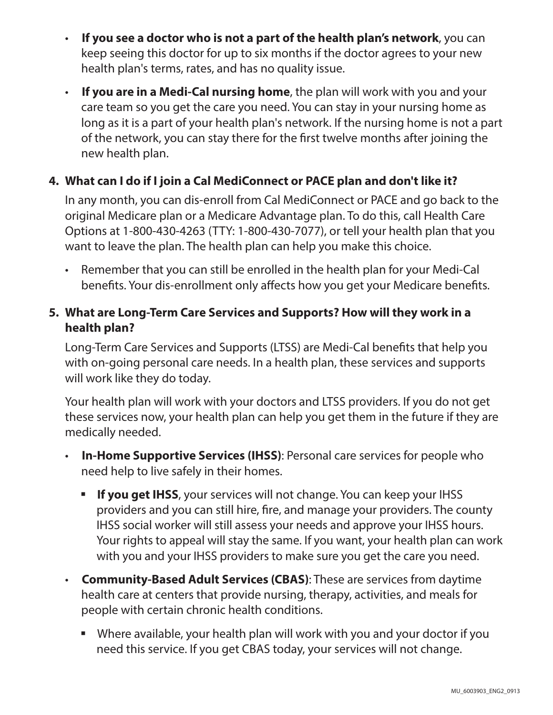- **If you see a doctor who is not a part of the health plan's network**, you can keep seeing this doctor for up to six months if the doctor agrees to your new health plan's terms, rates, and has no quality issue.
- • **If you are in a Medi-Cal nursing home**, the plan will work with you and your care team so you get the care you need. You can stay in your nursing home as long as it is a part of your health plan's network. If the nursing home is not a part of the network, you can stay there for the first twelve months after joining the new health plan.

#### **4. What can I do if I join a Cal MediConnect or PACE plan and don't like it?**

In any month, you can dis-enroll from Cal MediConnect or PACE and go back to the original Medicare plan or a Medicare Advantage plan. To do this, call Health Care Options at 1-800-430-4263 (TTY: 1-800-430-7077), or tell your health plan that you want to leave the plan. The health plan can help you make this choice.

• Remember that you can still be enrolled in the health plan for your Medi-Cal benefits. Your dis-enrollment only affects how you get your Medicare benefits.

#### **5. What are Long-Term Care Services and Supports? How will they work in a health plan?**

Long-Term Care Services and Supports (LTSS) are Medi-Cal benefits that help you with on-going personal care needs. In a health plan, these services and supports will work like they do today.

Your health plan will work with your doctors and LTSS providers. If you do not get these services now, your health plan can help you get them in the future if they are medically needed.

- **In-Home Supportive Services (IHSS): Personal care services for people who** need help to live safely in their homes.
	- **If you get IHSS**, your services will not change. You can keep your IHSS providers and you can still hire, fire, and manage your providers. The county IHSS social worker will still assess your needs and approve your IHSS hours. Your rights to appeal will stay the same. If you want, your health plan can work with you and your IHSS providers to make sure you get the care you need.
- • **Community-Based Adult Services (CBAS)**: These are services from daytime health care at centers that provide nursing, therapy, activities, and meals for people with certain chronic health conditions.
	- Where available, your health plan will work with you and your doctor if you need this service. If you get CBAS today, your services will not change.